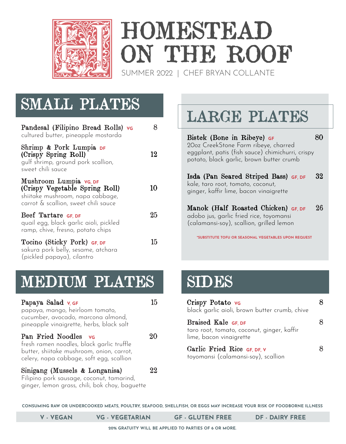

# HOMESTEAD ON THE ROOF

SUMMER 2022 | CHEF BRYAN COLLANTE

#### SMALL PLATES

| Pandesal (Filipino Bread Rolls) vo<br>cultured butter, pineapple mostarda                                                           |    |
|-------------------------------------------------------------------------------------------------------------------------------------|----|
| Shrimp & Pork Lumpia DF<br>(Crispy Spring Roll)<br>gulf shrimp, ground pork scallion,<br>sweet chili sauce                          | 12 |
| Mushroom Lumpia vg DF<br>(Crispy Vegetable Spring Roll)<br>shiitake mushroom, napa cabbage,<br>carrot & scallion, sweet chili sauce | 10 |
| Beef Tartare GF, DF<br>quail egg, black garlic aioli, pickled<br>ramp, chive, fresno, potato chips                                  | 25 |
| Tocino (Sticky Pork) GF, DF<br>sakura pork belly, sesame, atchara<br>(pickled papaya), cilantro                                     | 15 |

## LARGE PLATES

Bistek (Bone in Ribeye) **GF** 80 20oz CreekStone Farm ribeye, charred eggplant, patis (fish sauce) chimichurri, crispy potato, black garlic, brown butter crumb Isda (Pan Seared Striped Bass) **GF, DF** 32 kale, taro root, tomato, coconut, ginger, kaffir lime, bacon vinaigrette

Manok (Half Roasted Chicken) **GF, DF** 26 adobo jus, garlic fried rice, toyomansi (calamansi-soy), scallion, grilled lemon

**\*SUBSTITUTE TOFU OR SEASONAL VEGETABLES UPON REQUEST** 

#### MEDIUM PLATES

| Papaya Salad v GF<br>papaya, mango, heirloom tomato,<br>cucumber, avocado, marcona almond,<br>pineapple vinaigrette, herbs, black salt                     | 15 |
|------------------------------------------------------------------------------------------------------------------------------------------------------------|----|
| Pan Fried Noodles vo<br>fresh ramen noodles, black garlic truffle<br>butter, shiitake mushroom, onion, carrot,<br>celery, napa cabbage, soft egg, scallion |    |
| Sinigang (Mussels & Longanisa)<br>- February - Louis Communication - Louis Communication - Louis Communication - Louis Communication - Louis Com           | 77 |

Filipino pork sausage, coconut, tamarind, ginger, lemon grass, chili, bok choy, baguette

#### SIDES

| Crispy Potato vG<br>black garlic aioli, brown butter crumb, chive                            |  |
|----------------------------------------------------------------------------------------------|--|
| Braised Kale GF, DF<br>taro root, tomato, coconut, ginger, kaffir<br>lime, bacon vinaigrette |  |
| Garlic Fried Rice GF, DF, V<br>toyomansi (calamansi-soy), scallion                           |  |

**CONSUMING RAW OR UNDERCOOKED MEATS, POULTRY, SEAFOOD, SHELLFISH, OR EGGS MAY INCREASE YOUR RISK OF FOODBORNE ILLNESS**

**V - VEGAN VG - VEGETARIAN GF - GLUTEN FREE DF - DAIRY FREE**